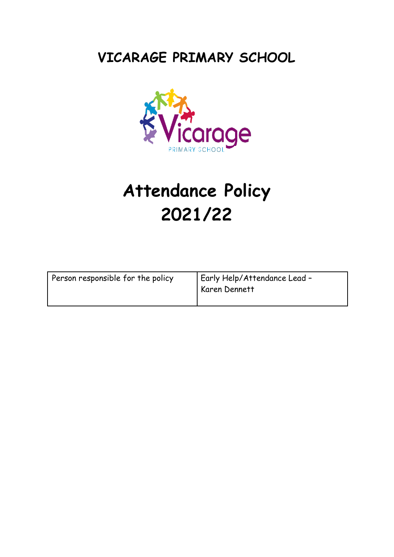# **VICARAGE PRIMARY SCHOOL**



# **Attendance Policy 2021/22**

| Person responsible for the policy | Early Help/Attendance Lead -<br>Karen Dennett |
|-----------------------------------|-----------------------------------------------|
|-----------------------------------|-----------------------------------------------|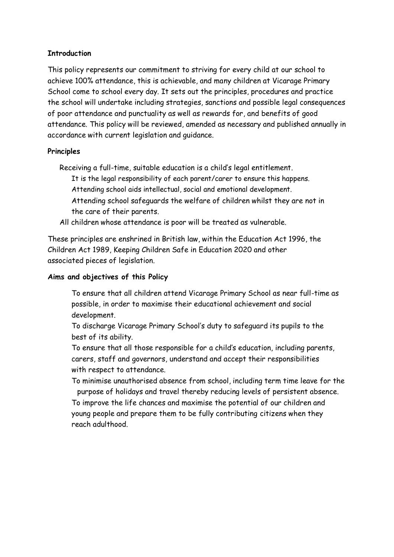#### **Introduction**

This policy represents our commitment to striving for every child at our school to achieve 100% attendance, this is achievable, and many children at Vicarage Primary School come to school every day. It sets out the principles, procedures and practice the school will undertake including strategies, sanctions and possible legal consequences of poor attendance and punctuality as well as rewards for, and benefits of good attendance. This policy will be reviewed, amended as necessary and published annually in accordance with current legislation and guidance.

#### **Principles**

Receiving a full-time, suitable education is a child's legal entitlement.

It is the legal responsibility of each parent/carer to ensure this happens. Attending school aids intellectual, social and emotional development.

Attending school safeguards the welfare of children whilst they are not in the care of their parents.

All children whose attendance is poor will be treated as vulnerable.

These principles are enshrined in British law, within the Education Act 1996, the Children Act 1989, Keeping Children Safe in Education 2020 and other associated pieces of legislation.

#### **Aims and objectives of this Policy**

To ensure that all children attend Vicarage Primary School as near full-time as possible, in order to maximise their educational achievement and social development.

To discharge Vicarage Primary School's duty to safeguard its pupils to the best of its ability.

To ensure that all those responsible for a child's education, including parents, carers, staff and governors, understand and accept their responsibilities with respect to attendance.

To minimise unauthorised absence from school, including term time leave for the purpose of holidays and travel thereby reducing levels of persistent absence.

To improve the life chances and maximise the potential of our children and young people and prepare them to be fully contributing citizens when they reach adulthood.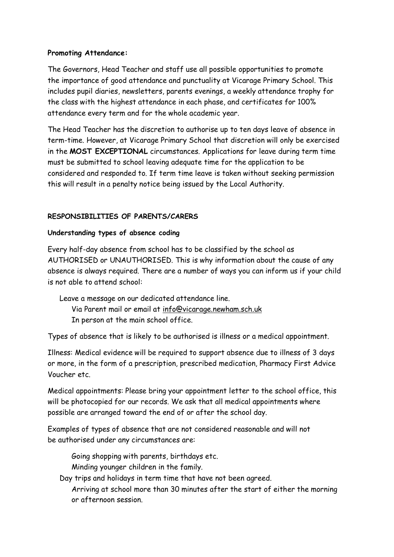#### **Promoting Attendance:**

The Governors, Head Teacher and staff use all possible opportunities to promote the importance of good attendance and punctuality at Vicarage Primary School. This includes pupil diaries, newsletters, parents evenings, a weekly attendance trophy for the class with the highest attendance in each phase, and certificates for 100% attendance every term and for the whole academic year.

The Head Teacher has the discretion to authorise up to ten days leave of absence in term-time. However, at Vicarage Primary School that discretion will only be exercised in the **MOST EXCEPTIONAL** circumstances. Applications for leave during term time must be submitted to school leaving adequate time for the application to be considered and responded to. If term time leave is taken without seeking permission this will result in a penalty notice being issued by the Local Authority.

# **RESPONSIBILITIES OF PARENTS/CARERS**

#### **Understanding types of absence coding**

Every half-day absence from school has to be classified by the school as AUTHORISED or UNAUTHORISED. This is why information about the cause of any absence is always required. There are a number of ways you can inform us if your child is not able to attend school:

Leave a message on our dedicated attendance line. Via Parent mail or email at [info@vicarage.newham.sch.uk](mailto:info@vicarage.newham.sch.uk) In person at the main school office.

Types of absence that is likely to be authorised is illness or a medical appointment.

Illness: Medical evidence will be required to support absence due to illness of 3 days or more, in the form of a prescription, prescribed medication, Pharmacy First Advice Voucher etc.

Medical appointments: Please bring your appointment letter to the school office, this will be photocopied for our records. We ask that all medical appointments where possible are arranged toward the end of or after the school day.

Examples of types of absence that are not considered reasonable and will not be authorised under any circumstances are:

Going shopping with parents, birthdays etc. Minding younger children in the family.

Day trips and holidays in term time that have not been agreed.

Arriving at school more than 30 minutes after the start of either the morning or afternoon session.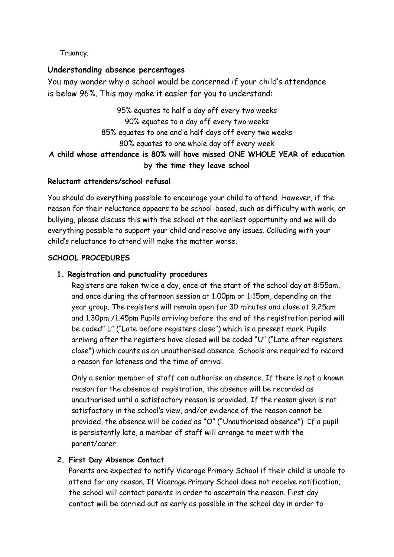# Truancy.

#### **Understanding absence percentages**

You may wonder why a school would be concerned if your child's attendance is below 96%. This may make it easier for you to understand:

# 95% equates to half a day off every two weeks 90% equates to a day off every two weeks 85% equates to one and a half days off every two weeks 80% equates to one whole day off every week **A child whose attendance is 80% will have missed ONE WHOLE YEAR of education by the time they leave school**

#### **Reluctant attenders/school refusal**

You should do everything possible to encourage your child to attend. However, if the reason for their reluctance appears to be school-based, such as difficulty with work, or bullying, please discuss this with the school at the earliest opportunity and we will do everything possible to support your child and resolve any issues. Colluding with your child's reluctance to attend will make the matter worse.

#### **SCHOOL PROCEDURES**

#### **1. Registration and punctuality procedures**

Registers are taken twice a day, once at the start of the school day at 8:55am, and once during the afternoon session at 1.00pm or 1:15pm, depending on the year group. The registers will remain open for 30 minutes and close at 9.25am and 1.30pm /1.45pm Pupils arriving before the end of the registration period will be coded" L" ("Late before registers close") which is a present mark. Pupils arriving after the registers have closed will be coded "U" ("Late after registers close") which counts as an unauthorised absence. Schools are required to record a reason for lateness and the time of arrival.

Only a senior member of staff can authorise an absence. If there is not a known reason for the absence at registration, the absence will be recorded as unauthorised until a satisfactory reason is provided. If the reason given is not satisfactory in the school's view, and/or evidence of the reason cannot be provided, the absence will be coded as "O" ("Unauthorised absence"). If a pupil is persistently late, a member of staff will arrange to meet with the parent/carer.

#### **2. First Day Absence Contact**

Parents are expected to notify Vicarage Primary School if their child is unable to attend for any reason. If Vicarage Primary School does not receive notification, the school will contact parents in order to ascertain the reason. First day contact will be carried out as early as possible in the school day in order to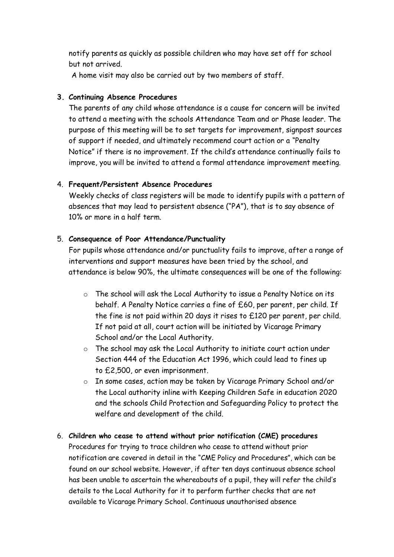notify parents as quickly as possible children who may have set off for school but not arrived.

A home visit may also be carried out by two members of staff.

# **3. Continuing Absence Procedures**

The parents of any child whose attendance is a cause for concern will be invited to attend a meeting with the schools Attendance Team and or Phase leader. The purpose of this meeting will be to set targets for improvement, signpost sources of support if needed, and ultimately recommend court action or a "Penalty Notice" if there is no improvement. If the child's attendance continually fails to improve, you will be invited to attend a formal attendance improvement meeting.

#### 4. **Frequent/Persistent Absence Procedures**

Weekly checks of class registers will be made to identify pupils with a pattern of absences that may lead to persistent absence ("PA"), that is to say absence of 10% or more in a half term.

#### 5. **Consequence of Poor Attendance/Punctuality**

For pupils whose attendance and/or punctuality fails to improve, after a range of interventions and support measures have been tried by the school, and attendance is below 90%, the ultimate consequences will be one of the following:

- o The school will ask the Local Authority to issue a Penalty Notice on its behalf. A Penalty Notice carries a fine of £60, per parent, per child. If the fine is not paid within 20 days it rises to £120 per parent, per child. If not paid at all, court action will be initiated by Vicarage Primary School and/or the Local Authority.
- o The school may ask the Local Authority to initiate court action under Section 444 of the Education Act 1996, which could lead to fines up to £2,500, or even imprisonment.
- o In some cases, action may be taken by Vicarage Primary School and/or the Local authority inline with Keeping Children Safe in education 2020 and the schools Child Protection and Safeguarding Policy to protect the welfare and development of the child.
- 6. **Children who cease to attend without prior notification (CME) procedures**  Procedures for trying to trace children who cease to attend without prior notification are covered in detail in the "CME Policy and Procedures", which can be found on our school website. However, if after ten days continuous absence school has been unable to ascertain the whereabouts of a pupil, they will refer the child's details to the Local Authority for it to perform further checks that are not available to Vicarage Primary School. Continuous unauthorised absence